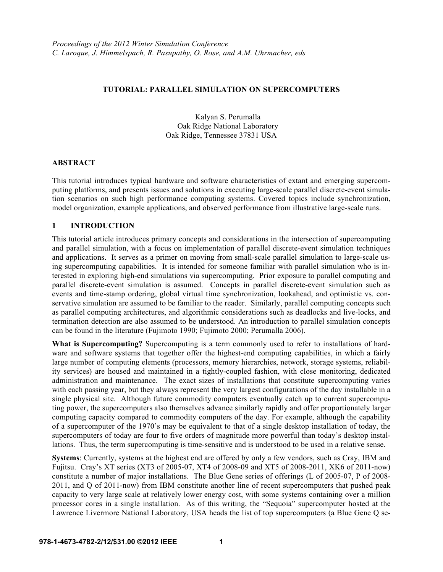# **TUTORIAL: PARALLEL SIMULATION ON SUPERCOMPUTERS**

Kalyan S. Perumalla Oak Ridge National Laboratory Oak Ridge, Tennessee 37831 USA

# **ABSTRACT**

This tutorial introduces typical hardware and software characteristics of extant and emerging supercomputing platforms, and presents issues and solutions in executing large-scale parallel discrete-event simulation scenarios on such high performance computing systems. Covered topics include synchronization, model organization, example applications, and observed performance from illustrative large-scale runs.

# **1 INTRODUCTION**

This tutorial article introduces primary concepts and considerations in the intersection of supercomputing and parallel simulation, with a focus on implementation of parallel discrete-event simulation techniques and applications. It serves as a primer on moving from small-scale parallel simulation to large-scale using supercomputing capabilities. It is intended for someone familiar with parallel simulation who is interested in exploring high-end simulations via supercomputing. Prior exposure to parallel computing and parallel discrete-event simulation is assumed. Concepts in parallel discrete-event simulation such as events and time-stamp ordering, global virtual time synchronization, lookahead, and optimistic vs. conservative simulation are assumed to be familiar to the reader. Similarly, parallel computing concepts such as parallel computing architectures, and algorithmic considerations such as deadlocks and live-locks, and termination detection are also assumed to be understood. An introduction to parallel simulation concepts can be found in the literature (Fujimoto 1990; Fujimoto 2000; Perumalla 2006).

**What is Supercomputing?** Supercomputing is a term commonly used to refer to installations of hardware and software systems that together offer the highest-end computing capabilities, in which a fairly large number of computing elements (processors, memory hierarchies, network, storage systems, reliability services) are housed and maintained in a tightly-coupled fashion, with close monitoring, dedicated administration and maintenance. The exact sizes of installations that constitute supercomputing varies with each passing year, but they always represent the very largest configurations of the day installable in a single physical site. Although future commodity computers eventually catch up to current supercomputing power, the supercomputers also themselves advance similarly rapidly and offer proportionately larger computing capacity compared to commodity computers of the day. For example, although the capability of a supercomputer of the 1970's may be equivalent to that of a single desktop installation of today, the supercomputers of today are four to five orders of magnitude more powerful than today's desktop installations. Thus, the term supercomputing is time-sensitive and is understood to be used in a relative sense.

**Systems**: Currently, systems at the highest end are offered by only a few vendors, such as Cray, IBM and Fujitsu. Cray's XT series (XT3 of 2005-07, XT4 of 2008-09 and XT5 of 2008-2011, XK6 of 2011-now) constitute a number of major installations. The Blue Gene series of offerings (L of 2005-07, P of 2008- 2011, and Q of 2011-now) from IBM constitute another line of recent supercomputers that pushed peak capacity to very large scale at relatively lower energy cost, with some systems containing over a million processor cores in a single installation. As of this writing, the "Sequoia" supercomputer hosted at the Lawrence Livermore National Laboratory, USA heads the list of top supercomputers (a Blue Gene Q se-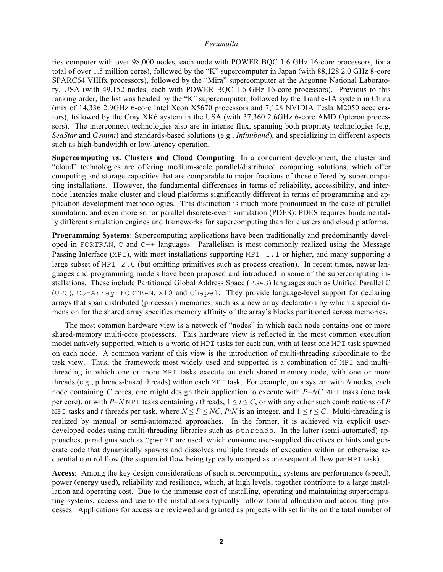ries computer with over 98,000 nodes, each node with POWER BQC 1.6 GHz 16-core processors, for a total of over 1.5 million cores), followed by the "K" supercomputer in Japan (with 88,128 2.0 GHz 8-core SPARC64 VIIIfx processors), followed by the "Mira" supercomputer at the Argonne National Laboratory, USA (with 49,152 nodes, each with POWER BQC 1.6 GHz 16-core processors). Previous to this ranking order, the list was headed by the "K" supercomputer, followed by the Tianhe-1A system in China (mix of 14,336 2.9GHz 6-core Intel Xeon X5670 processors and 7,128 NVIDIA Tesla M2050 accelerators), followed by the Cray XK6 system in the USA (with 37,360 2.6GHz 6-core AMD Opteron processors). The interconnect technologies also are in intense flux, spanning both propriety technologies (e.g, *SeaStar* and *Gemini*) and standards-based solutions (e.g., *Infiniband*), and specializing in different aspects such as high-bandwidth or low-latency operation.

**Supercomputing vs. Clusters and Cloud Computing**: In a concurrent development, the cluster and "cloud" technologies are offering medium-scale parallel/distributed computing solutions, which offer computing and storage capacities that are comparable to major fractions of those offered by supercomputing installations. However, the fundamental differences in terms of reliability, accessibility, and internode latencies make cluster and cloud platforms significantly different in terms of programming and application development methodologies. This distinction is much more pronounced in the case of parallel simulation, and even more so for parallel discrete-event simulation (PDES): PDES requires fundamentally different simulation engines and frameworks for supercomputing than for clusters and cloud platforms.

**Programming Systems**: Supercomputing applications have been traditionally and predominantly developed in FORTRAN, C and C++ languages. Parallelism is most commonly realized using the Message Passing Interface (MPI), with most installations supporting MPI 1.1 or higher, and many supporting a large subset of MPI 2.0 (but omitting primitives such as process creation). In recent times, newer languages and programming models have been proposed and introduced in some of the supercomputing installations. These include Partitioned Global Address Space (PGAS) languages such as Unified Parallel C (UPC), Co-Array FORTRAN, X10 and Chapel. They provide language-level support for declaring arrays that span distributed (processor) memories, such as a new array declaration by which a special dimension for the shared array specifies memory affinity of the array's blocks partitioned across memories.

 The most common hardware view is a network of "nodes" in which each node contains one or more shared-memory multi-core processors. This hardware view is reflected in the most common execution model natively supported, which is a world of MPI tasks for each run, with at least one MPI task spawned on each node. A common variant of this view is the introduction of multi-threading subordinate to the task view. Thus, the framework most widely used and supported is a combination of MPI and multithreading in which one or more MPI tasks execute on each shared memory node, with one or more threads (e.g., pthreads-based threads) within each MPI task. For example, on a system with *N* nodes, each node containing *C* cores, one might design their application to execute with *P*=*NC* MPI tasks (one task per core), or with *P*=*N* MPI tasks containing *t* threads,  $1 \le t \le C$ , or with any other such combinations of *P* MPI tasks and *t* threads per task, where  $N \le P \le NC$ , *P/N* is an integer, and  $1 \le t \le C$ . Multi-threading is realized by manual or semi-automated approaches. In the former, it is achieved via explicit userdeveloped codes using multi-threading libraries such as pthreads. In the latter (semi-automated) approaches, paradigms such as OpenMP are used, which consume user-supplied directives or hints and generate code that dynamically spawns and dissolves multiple threads of execution within an otherwise sequential control flow (the sequential flow being typically mapped as one sequential flow per MPI task).

**Access**: Among the key design considerations of such supercomputing systems are performance (speed), power (energy used), reliability and resilience, which, at high levels, together contribute to a large installation and operating cost. Due to the immense cost of installing, operating and maintaining supercomputing systems, access and use to the installations typically follow formal allocation and accounting processes. Applications for access are reviewed and granted as projects with set limits on the total number of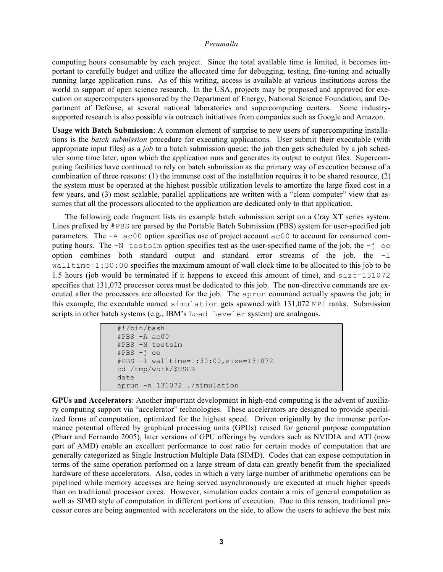computing hours consumable by each project. Since the total available time is limited, it becomes important to carefully budget and utilize the allocated time for debugging, testing, fine-tuning and actually running large application runs. As of this writing, access is available at various institutions across the world in support of open science research. In the USA, projects may be proposed and approved for execution on supercomputers sponsored by the Department of Energy, National Science Foundation, and Department of Defense, at several national laboratories and supercomputing centers. Some industrysupported research is also possible via outreach initiatives from companies such as Google and Amazon.

**Usage with Batch Submission**: A common element of surprise to new users of supercomputing installations is the *batch submission* procedure for executing applications. User submit their executable (with appropriate input files) as a *job* to a batch submission queue; the job then gets scheduled by a job scheduler some time later, upon which the application runs and generates its output to output files. Supercomputing facilities have continued to rely on batch submission as the primary way of execution because of a combination of three reasons: (1) the immense cost of the installation requires it to be shared resource, (2) the system must be operated at the highest possible utilization levels to amortize the large fixed cost in a few years, and (3) most scalable, parallel applications are written with a "clean computer" view that assumes that all the processors allocated to the application are dedicated only to that application.

 The following code fragment lists an example batch submission script on a Cray XT series system. Lines prefixed by #PBS are parsed by the Portable Batch Submission (PBS) system for user-specified job parameters. The -A ac00 option specifies use of project account ac00 to account for consumed computing hours. The  $-N$  testsim option specifies test as the user-specified name of the job, the  $-j$  oe option combines both standard output and standard error streams of the job, the  $-1$ walltime=1:30:00 specifies the maximum amount of wall clock time to be allocated to this job to be 1.5 hours (job would be terminated if it happens to exceed this amount of time), and  $size=131072$ specifies that 131,072 processor cores must be dedicated to this job. The non-directive commands are executed after the processors are allocated for the job. The aprun command actually spawns the job; in this example, the executable named simulation gets spawned with 131,072 MPI ranks. Submission scripts in other batch systems (e.g., IBM's Load Leveler system) are analogous.

```
#!/bin/bash 
#PBS -A ac00 
#PBS -N testsim 
#PBS -j oe 
#PBS -l walltime=1:30:00,size=131072 
cd /tmp/work/$USER 
date 
aprun -n 131072 ./simulation
```
**GPUs and Accelerators**: Another important development in high-end computing is the advent of auxiliary computing support via "accelerator" technologies. These accelerators are designed to provide specialized forms of computation, optimized for the highest speed. Driven originally by the immense performance potential offered by graphical processing units (GPUs) reused for general purpose computation (Pharr and Fernando 2005), later versions of GPU offerings by vendors such as NVIDIA and ATI (now part of AMD) enable an excellent performance to cost ratio for certain modes of computation that are generally categorized as Single Instruction Multiple Data (SIMD). Codes that can expose computation in terms of the same operation performed on a large stream of data can greatly benefit from the specialized hardware of these accelerators. Also, codes in which a very large number of arithmetic operations can be pipelined while memory accesses are being served asynchronously are executed at much higher speeds than on traditional processor cores. However, simulation codes contain a mix of general computation as well as SIMD style of computation in different portions of execution. Due to this reason, traditional processor cores are being augmented with accelerators on the side, to allow the users to achieve the best mix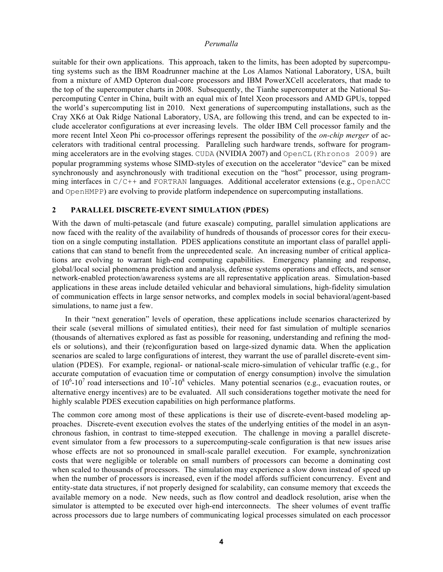suitable for their own applications. This approach, taken to the limits, has been adopted by supercomputing systems such as the IBM Roadrunner machine at the Los Alamos National Laboratory, USA, built from a mixture of AMD Opteron dual-core processors and IBM PowerXCell accelerators, that made to the top of the supercomputer charts in 2008. Subsequently, the Tianhe supercomputer at the National Supercomputing Center in China, built with an equal mix of Intel Xeon processors and AMD GPUs, topped the world's supercomputing list in 2010. Next generations of supercomputing installations, such as the Cray XK6 at Oak Ridge National Laboratory, USA, are following this trend, and can be expected to include accelerator configurations at ever increasing levels. The older IBM Cell processor family and the more recent Intel Xeon Phi co-processor offerings represent the possibility of the *on-chip merger* of accelerators with traditional central processing. Paralleling such hardware trends, software for programming accelerators are in the evolving stages. CUDA (NVIDIA 2007) and OpenCL(Khronos 2009) are popular programming systems whose SIMD-styles of execution on the accelerator "device" can be mixed synchronously and asynchronously with traditional execution on the "host" processor, using programming interfaces in  $C/C++$  and FORTRAN languages. Additional accelerator extensions (e.g., OpenACC) and OpenHMPP) are evolving to provide platform independence on supercomputing installations.

### **2 PARALLEL DISCRETE-EVENT SIMULATION (PDES)**

With the dawn of multi-petascale (and future exascale) computing, parallel simulation applications are now faced with the reality of the availability of hundreds of thousands of processor cores for their execution on a single computing installation. PDES applications constitute an important class of parallel applications that can stand to benefit from the unprecedented scale. An increasing number of critical applications are evolving to warrant high-end computing capabilities. Emergency planning and response, global/local social phenomena prediction and analysis, defense systems operations and effects, and sensor network-enabled protection/awareness systems are all representative application areas. Simulation-based applications in these areas include detailed vehicular and behavioral simulations, high-fidelity simulation of communication effects in large sensor networks, and complex models in social behavioral/agent-based simulations, to name just a few.

 In their "next generation" levels of operation, these applications include scenarios characterized by their scale (several millions of simulated entities), their need for fast simulation of multiple scenarios (thousands of alternatives explored as fast as possible for reasoning, understanding and refining the models or solutions), and their (re)configuration based on large-sized dynamic data. When the application scenarios are scaled to large configurations of interest, they warrant the use of parallel discrete-event simulation (PDES). For example, regional- or national-scale micro-simulation of vehicular traffic (e.g., for accurate computation of evacuation time or computation of energy consumption) involve the simulation of  $10^6$ - $10^7$  road intersections and  $10^7$ - $10^8$  vehicles. Many potential scenarios (e.g., evacuation routes, or alternative energy incentives) are to be evaluated. All such considerations together motivate the need for highly scalable PDES execution capabilities on high performance platforms.

The common core among most of these applications is their use of discrete-event-based modeling approaches. Discrete-event execution evolves the states of the underlying entities of the model in an asynchronous fashion, in contrast to time-stepped execution. The challenge in moving a parallel discreteevent simulator from a few processors to a supercomputing-scale configuration is that new issues arise whose effects are not so pronounced in small-scale parallel execution. For example, synchronization costs that were negligible or tolerable on small numbers of processors can become a dominating cost when scaled to thousands of processors. The simulation may experience a slow down instead of speed up when the number of processors is increased, even if the model affords sufficient concurrency. Event and entity-state data structures, if not properly designed for scalability, can consume memory that exceeds the available memory on a node. New needs, such as flow control and deadlock resolution, arise when the simulator is attempted to be executed over high-end interconnects. The sheer volumes of event traffic across processors due to large numbers of communicating logical processes simulated on each processor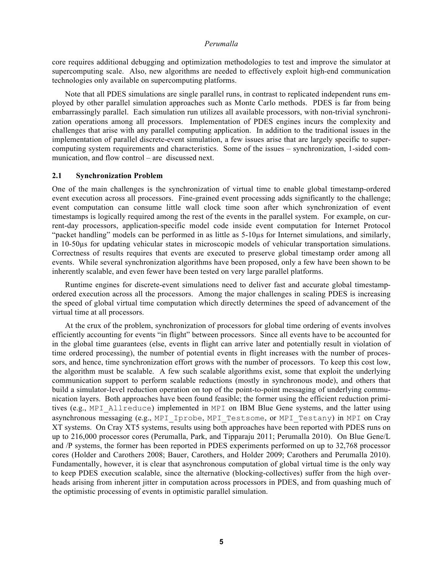core requires additional debugging and optimization methodologies to test and improve the simulator at supercomputing scale. Also, new algorithms are needed to effectively exploit high-end communication technologies only available on supercomputing platforms.

 Note that all PDES simulations are single parallel runs, in contrast to replicated independent runs employed by other parallel simulation approaches such as Monte Carlo methods. PDES is far from being embarrassingly parallel. Each simulation run utilizes all available processors, with non-trivial synchronization operations among all processors. Implementation of PDES engines incurs the complexity and challenges that arise with any parallel computing application. In addition to the traditional issues in the implementation of parallel discrete-event simulation, a few issues arise that are largely specific to supercomputing system requirements and characteristics. Some of the issues – synchronization, 1-sided communication, and flow control – are discussed next.

### **2.1 Synchronization Problem**

One of the main challenges is the synchronization of virtual time to enable global timestamp-ordered event execution across all processors. Fine-grained event processing adds significantly to the challenge; event computation can consume little wall clock time soon after which synchronization of event timestamps is logically required among the rest of the events in the parallel system. For example, on current-day processors, application-specific model code inside event computation for Internet Protocol "packet handling" models can be performed in as little as 5-10µs for Internet simulations, and similarly, in 10-50µs for updating vehicular states in microscopic models of vehicular transportation simulations. Correctness of results requires that events are executed to preserve global timestamp order among all events. While several synchronization algorithms have been proposed, only a few have been shown to be inherently scalable, and even fewer have been tested on very large parallel platforms.

 Runtime engines for discrete-event simulations need to deliver fast and accurate global timestampordered execution across all the processors. Among the major challenges in scaling PDES is increasing the speed of global virtual time computation which directly determines the speed of advancement of the virtual time at all processors.

 At the crux of the problem, synchronization of processors for global time ordering of events involves efficiently accounting for events "in flight" between processors. Since all events have to be accounted for in the global time guarantees (else, events in flight can arrive later and potentially result in violation of time ordered processing), the number of potential events in flight increases with the number of processors, and hence, time synchronization effort grows with the number of processors. To keep this cost low, the algorithm must be scalable. A few such scalable algorithms exist, some that exploit the underlying communication support to perform scalable reductions (mostly in synchronous mode), and others that build a simulator-level reduction operation on top of the point-to-point messaging of underlying communication layers. Both approaches have been found feasible; the former using the efficient reduction primitives (e.g., MPI\_Allreduce) implemented in MPI on IBM Blue Gene systems, and the latter using asynchronous messaging (e.g., MPI\_Iprobe, MPI\_Testsome, or MPI\_Testany) in MPI on Cray XT systems. On Cray XT5 systems, results using both approaches have been reported with PDES runs on up to 216,000 processor cores (Perumalla, Park, and Tipparaju 2011; Perumalla 2010). On Blue Gene/L and /P systems, the former has been reported in PDES experiments performed on up to 32,768 processor cores (Holder and Carothers 2008; Bauer, Carothers, and Holder 2009; Carothers and Perumalla 2010). Fundamentally, however, it is clear that asynchronous computation of global virtual time is the only way to keep PDES execution scalable, since the alternative (blocking-collectives) suffer from the high overheads arising from inherent jitter in computation across processors in PDES, and from quashing much of the optimistic processing of events in optimistic parallel simulation.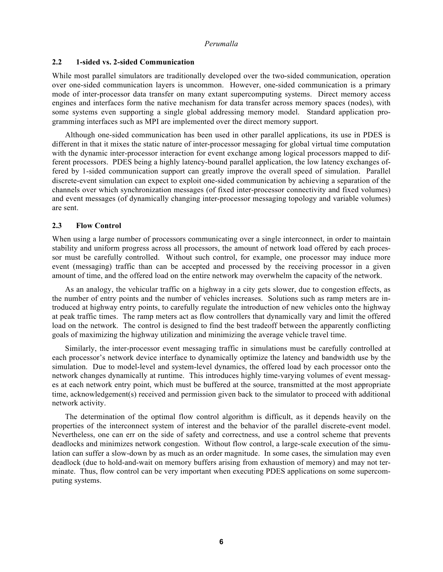## **2.2 1-sided vs. 2-sided Communication**

While most parallel simulators are traditionally developed over the two-sided communication, operation over one-sided communication layers is uncommon. However, one-sided communication is a primary mode of inter-processor data transfer on many extant supercomputing systems. Direct memory access engines and interfaces form the native mechanism for data transfer across memory spaces (nodes), with some systems even supporting a single global addressing memory model. Standard application programming interfaces such as MPI are implemented over the direct memory support.

 Although one-sided communication has been used in other parallel applications, its use in PDES is different in that it mixes the static nature of inter-processor messaging for global virtual time computation with the dynamic inter-processor interaction for event exchange among logical processors mapped to different processors. PDES being a highly latency-bound parallel application, the low latency exchanges offered by 1-sided communication support can greatly improve the overall speed of simulation. Parallel discrete-event simulation can expect to exploit one-sided communication by achieving a separation of the channels over which synchronization messages (of fixed inter-processor connectivity and fixed volumes) and event messages (of dynamically changing inter-processor messaging topology and variable volumes) are sent.

# **2.3 Flow Control**

When using a large number of processors communicating over a single interconnect, in order to maintain stability and uniform progress across all processors, the amount of network load offered by each processor must be carefully controlled. Without such control, for example, one processor may induce more event (messaging) traffic than can be accepted and processed by the receiving processor in a given amount of time, and the offered load on the entire network may overwhelm the capacity of the network.

 As an analogy, the vehicular traffic on a highway in a city gets slower, due to congestion effects, as the number of entry points and the number of vehicles increases. Solutions such as ramp meters are introduced at highway entry points, to carefully regulate the introduction of new vehicles onto the highway at peak traffic times. The ramp meters act as flow controllers that dynamically vary and limit the offered load on the network. The control is designed to find the best tradeoff between the apparently conflicting goals of maximizing the highway utilization and minimizing the average vehicle travel time.

 Similarly, the inter-processor event messaging traffic in simulations must be carefully controlled at each processor's network device interface to dynamically optimize the latency and bandwidth use by the simulation. Due to model-level and system-level dynamics, the offered load by each processor onto the network changes dynamically at runtime. This introduces highly time-varying volumes of event messages at each network entry point, which must be buffered at the source, transmitted at the most appropriate time, acknowledgement(s) received and permission given back to the simulator to proceed with additional network activity.

 The determination of the optimal flow control algorithm is difficult, as it depends heavily on the properties of the interconnect system of interest and the behavior of the parallel discrete-event model. Nevertheless, one can err on the side of safety and correctness, and use a control scheme that prevents deadlocks and minimizes network congestion. Without flow control, a large-scale execution of the simulation can suffer a slow-down by as much as an order magnitude. In some cases, the simulation may even deadlock (due to hold-and-wait on memory buffers arising from exhaustion of memory) and may not terminate. Thus, flow control can be very important when executing PDES applications on some supercomputing systems.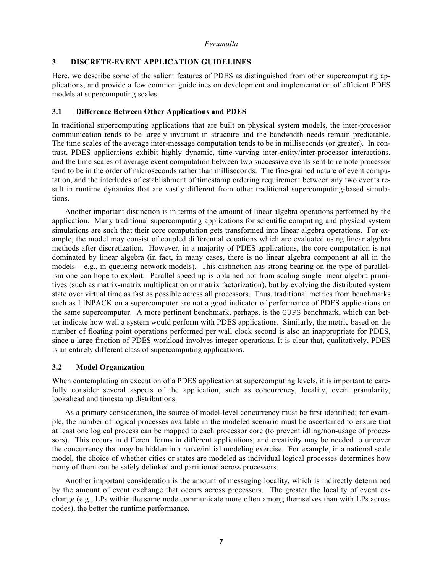# **3 DISCRETE-EVENT APPLICATION GUIDELINES**

Here, we describe some of the salient features of PDES as distinguished from other supercomputing applications, and provide a few common guidelines on development and implementation of efficient PDES models at supercomputing scales.

# **3.1 Difference Between Other Applications and PDES**

In traditional supercomputing applications that are built on physical system models, the inter-processor communication tends to be largely invariant in structure and the bandwidth needs remain predictable. The time scales of the average inter-message computation tends to be in milliseconds (or greater). In contrast, PDES applications exhibit highly dynamic, time-varying inter-entity/inter-processor interactions, and the time scales of average event computation between two successive events sent to remote processor tend to be in the order of microseconds rather than milliseconds. The fine-grained nature of event computation, and the interludes of establishment of timestamp ordering requirement between any two events result in runtime dynamics that are vastly different from other traditional supercomputing-based simulations.

 Another important distinction is in terms of the amount of linear algebra operations performed by the application. Many traditional supercomputing applications for scientific computing and physical system simulations are such that their core computation gets transformed into linear algebra operations. For example, the model may consist of coupled differential equations which are evaluated using linear algebra methods after discretization. However, in a majority of PDES applications, the core computation is not dominated by linear algebra (in fact, in many cases, there is no linear algebra component at all in the models – e.g., in queueing network models). This distinction has strong bearing on the type of parallelism one can hope to exploit. Parallel speed up is obtained not from scaling single linear algebra primitives (such as matrix-matrix multiplication or matrix factorization), but by evolving the distributed system state over virtual time as fast as possible across all processors. Thus, traditional metrics from benchmarks such as LINPACK on a supercomputer are not a good indicator of performance of PDES applications on the same supercomputer. A more pertinent benchmark, perhaps, is the GUPS benchmark, which can better indicate how well a system would perform with PDES applications. Similarly, the metric based on the number of floating point operations performed per wall clock second is also an inappropriate for PDES, since a large fraction of PDES workload involves integer operations. It is clear that, qualitatively, PDES is an entirely different class of supercomputing applications.

# **3.2 Model Organization**

When contemplating an execution of a PDES application at supercomputing levels, it is important to carefully consider several aspects of the application, such as concurrency, locality, event granularity, lookahead and timestamp distributions.

 As a primary consideration, the source of model-level concurrency must be first identified; for example, the number of logical processes available in the modeled scenario must be ascertained to ensure that at least one logical process can be mapped to each processor core (to prevent idling/non-usage of processors). This occurs in different forms in different applications, and creativity may be needed to uncover the concurrency that may be hidden in a naïve/initial modeling exercise. For example, in a national scale model, the choice of whether cities or states are modeled as individual logical processes determines how many of them can be safely delinked and partitioned across processors.

 Another important consideration is the amount of messaging locality, which is indirectly determined by the amount of event exchange that occurs across processors. The greater the locality of event exchange (e.g., LPs within the same node communicate more often among themselves than with LPs across nodes), the better the runtime performance.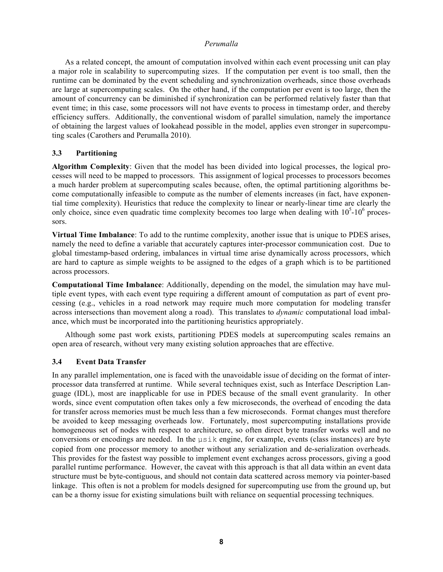As a related concept, the amount of computation involved within each event processing unit can play a major role in scalability to supercomputing sizes. If the computation per event is too small, then the runtime can be dominated by the event scheduling and synchronization overheads, since those overheads are large at supercomputing scales. On the other hand, if the computation per event is too large, then the amount of concurrency can be diminished if synchronization can be performed relatively faster than that event time; in this case, some processors will not have events to process in timestamp order, and thereby efficiency suffers. Additionally, the conventional wisdom of parallel simulation, namely the importance of obtaining the largest values of lookahead possible in the model, applies even stronger in supercomputing scales (Carothers and Perumalla 2010).

# **3.3 Partitioning**

**Algorithm Complexity**: Given that the model has been divided into logical processes, the logical processes will need to be mapped to processors. This assignment of logical processes to processors becomes a much harder problem at supercomputing scales because, often, the optimal partitioning algorithms become computationally infeasible to compute as the number of elements increases (in fact, have exponential time complexity). Heuristics that reduce the complexity to linear or nearly-linear time are clearly the only choice, since even quadratic time complexity becomes too large when dealing with  $10<sup>5</sup>$ -10<sup>6</sup> processors.

**Virtual Time Imbalance**: To add to the runtime complexity, another issue that is unique to PDES arises, namely the need to define a variable that accurately captures inter-processor communication cost. Due to global timestamp-based ordering, imbalances in virtual time arise dynamically across processors, which are hard to capture as simple weights to be assigned to the edges of a graph which is to be partitioned across processors.

**Computational Time Imbalance**: Additionally, depending on the model, the simulation may have multiple event types, with each event type requiring a different amount of computation as part of event processing (e.g., vehicles in a road network may require much more computation for modeling transfer across intersections than movement along a road). This translates to *dynamic* computational load imbalance, which must be incorporated into the partitioning heuristics appropriately.

 Although some past work exists, partitioning PDES models at supercomputing scales remains an open area of research, without very many existing solution approaches that are effective.

# **3.4 Event Data Transfer**

In any parallel implementation, one is faced with the unavoidable issue of deciding on the format of interprocessor data transferred at runtime. While several techniques exist, such as Interface Description Language (IDL), most are inapplicable for use in PDES because of the small event granularity. In other words, since event computation often takes only a few microseconds, the overhead of encoding the data for transfer across memories must be much less than a few microseconds. Format changes must therefore be avoided to keep messaging overheads low. Fortunately, most supercomputing installations provide homogeneous set of nodes with respect to architecture, so often direct byte transfer works well and no conversions or encodings are needed. In the μsik engine, for example, events (class instances) are byte copied from one processor memory to another without any serialization and de-serialization overheads. This provides for the fastest way possible to implement event exchanges across processors, giving a good parallel runtime performance. However, the caveat with this approach is that all data within an event data structure must be byte-contiguous, and should not contain data scattered across memory via pointer-based linkage. This often is not a problem for models designed for supercomputing use from the ground up, but can be a thorny issue for existing simulations built with reliance on sequential processing techniques.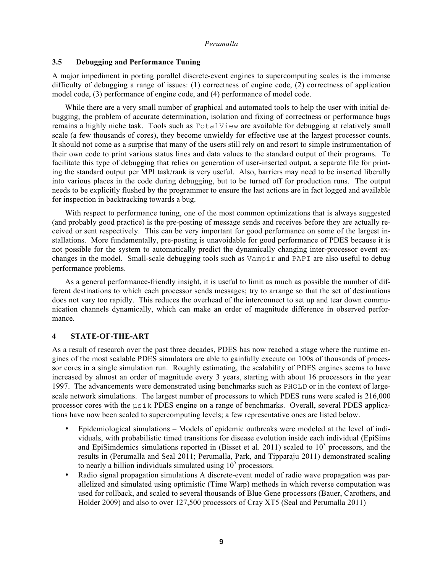## **3.5 Debugging and Performance Tuning**

A major impediment in porting parallel discrete-event engines to supercomputing scales is the immense difficulty of debugging a range of issues: (1) correctness of engine code, (2) correctness of application model code, (3) performance of engine code, and (4) performance of model code.

 While there are a very small number of graphical and automated tools to help the user with initial debugging, the problem of accurate determination, isolation and fixing of correctness or performance bugs remains a highly niche task. Tools such as TotalView are available for debugging at relatively small scale (a few thousands of cores), they become unwieldy for effective use at the largest processor counts. It should not come as a surprise that many of the users still rely on and resort to simple instrumentation of their own code to print various status lines and data values to the standard output of their programs. To facilitate this type of debugging that relies on generation of user-inserted output, a separate file for printing the standard output per MPI task/rank is very useful. Also, barriers may need to be inserted liberally into various places in the code during debugging, but to be turned off for production runs. The output needs to be explicitly flushed by the programmer to ensure the last actions are in fact logged and available for inspection in backtracking towards a bug.

 With respect to performance tuning, one of the most common optimizations that is always suggested (and probably good practice) is the pre-posting of message sends and receives before they are actually received or sent respectively. This can be very important for good performance on some of the largest installations. More fundamentally, pre-posting is unavoidable for good performance of PDES because it is not possible for the system to automatically predict the dynamically changing inter-processor event exchanges in the model. Small-scale debugging tools such as Vampir and PAPI are also useful to debug performance problems.

 As a general performance-friendly insight, it is useful to limit as much as possible the number of different destinations to which each processor sends messages; try to arrange so that the set of destinations does not vary too rapidly. This reduces the overhead of the interconnect to set up and tear down communication channels dynamically, which can make an order of magnitude difference in observed performance.

# **4 STATE-OF-THE-ART**

As a result of research over the past three decades, PDES has now reached a stage where the runtime engines of the most scalable PDES simulators are able to gainfully execute on 100s of thousands of processor cores in a single simulation run. Roughly estimating, the scalability of PDES engines seems to have increased by almost an order of magnitude every 3 years, starting with about 16 processors in the year 1997. The advancements were demonstrated using benchmarks such as PHOLD or in the context of largescale network simulations. The largest number of processors to which PDES runs were scaled is 216,000 processor cores with the μsik PDES engine on a range of benchmarks. Overall, several PDES applications have now been scaled to supercomputing levels; a few representative ones are listed below.

- Epidemiological simulations Models of epidemic outbreaks were modeled at the level of individuals, with probabilistic timed transitions for disease evolution inside each individual (EpiSims and EpiSimdemics simulations reported in (Bisset et al. 2011) scaled to  $10<sup>3</sup>$  processors, and the results in (Perumalla and Seal 2011; Perumalla, Park, and Tipparaju 2011) demonstrated scaling to nearly a billion individuals simulated using  $10<sup>5</sup>$  processors.
- Radio signal propagation simulations A discrete-event model of radio wave propagation was parallelized and simulated using optimistic (Time Warp) methods in which reverse computation was used for rollback, and scaled to several thousands of Blue Gene processors (Bauer, Carothers, and Holder 2009) and also to over 127,500 processors of Cray XT5 (Seal and Perumalla 2011)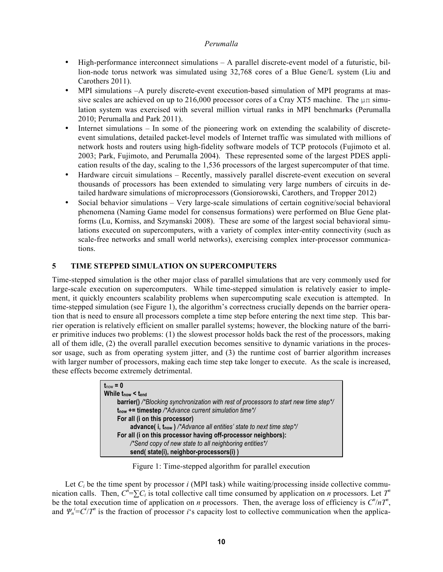- High-performance interconnect simulations A parallel discrete-event model of a futuristic, billion-node torus network was simulated using 32,768 cores of a Blue Gene/L system (Liu and Carothers 2011).
- MPI simulations  $-A$  purely discrete-event execution-based simulation of MPI programs at massive scales are achieved on up to 216,000 processor cores of a Cray XT5 machine. The  $\mu$ m simulation system was exercised with several million virtual ranks in MPI benchmarks (Perumalla 2010; Perumalla and Park 2011).
- Internet simulations In some of the pioneering work on extending the scalability of discreteevent simulations, detailed packet-level models of Internet traffic was simulated with millions of network hosts and routers using high-fidelity software models of TCP protocols (Fujimoto et al. 2003; Park, Fujimoto, and Perumalla 2004). These represented some of the largest PDES application results of the day, scaling to the 1,536 processors of the largest supercomputer of that time.
- Hardware circuit simulations Recently, massively parallel discrete-event execution on several thousands of processors has been extended to simulating very large numbers of circuits in detailed hardware simulations of microprocessors (Gonsiorowski, Carothers, and Tropper 2012)
- Social behavior simulations Very large-scale simulations of certain cognitive/social behavioral phenomena (Naming Game model for consensus formations) were performed on Blue Gene platforms (Lu, Korniss, and Szymanski 2008). These are some of the largest social behavioral simulations executed on supercomputers, with a variety of complex inter-entity connectivity (such as scale-free networks and small world networks), exercising complex inter-processor communications.

# **5 TIME STEPPED SIMULATION ON SUPERCOMPUTERS**

Time-stepped simulation is the other major class of parallel simulations that are very commonly used for large-scale execution on supercomputers. While time-stepped simulation is relatively easier to implement, it quickly encounters scalability problems when supercomputing scale execution is attempted. In time-stepped simulation (see Figure 1), the algorithm's correctness crucially depends on the barrier operation that is need to ensure all processors complete a time step before entering the next time step. This barrier operation is relatively efficient on smaller parallel systems; however, the blocking nature of the barrier primitive induces two problems: (1) the slowest processor holds back the rest of the processors, making all of them idle, (2) the overall parallel execution becomes sensitive to dynamic variations in the processor usage, such as from operating system jitter, and (3) the runtime cost of barrier algorithm increases with larger number of processors, making each time step take longer to execute. As the scale is increased, these effects become extremely detrimental.

| $t_{\text{now}} = 0$                                                                         |
|----------------------------------------------------------------------------------------------|
| While $t_{\text{now}} < t_{\text{end}}$                                                      |
| <b>barrier()</b> /*Blocking synchronization with rest of processors to start new time step*/ |
| t <sub>now</sub> += timestep /*Advance current simulation time*/                             |
| For all (i on this processor)                                                                |
| <b>advance(i, t<sub>how</sub>)</b> /*Advance all entities' state to next time step*/         |
| For all (i on this processor having off-processor neighbors):                                |
| /*Send copy of new state to all neighboring entities*/                                       |
| send(state(i), neighbor-processors(i))                                                       |

Figure 1: Time-stepped algorithm for parallel execution

Let  $C_i$  be the time spent by processor *i* (MPI task) while waiting/processing inside collective communication calls. Then,  $C^{n} = \sum C_i$  is total collective call time consumed by application on *n* processors. Let  $T^n$ be the total execution time of application on *n* processors. Then, the average loss of efficiency is  $C^n/nT^n$ , and  $\Psi_n^i = C^i/T^n$  is the fraction of processor *i*'s capacity lost to collective communication when the applica-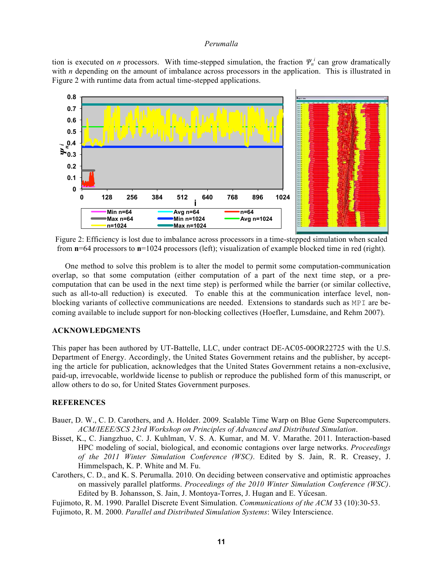tion is executed on *n* processors. With time-stepped simulation, the fraction  $\Psi_n^i$  can grow dramatically with *n* depending on the amount of imbalance across processors in the application. This is illustrated in Figure 2 with runtime data from actual time-stepped applications.



Figure 2: Efficiency is lost due to imbalance across processors in a time-stepped simulation when scaled from **n**=64 processors to **n**=1024 processors (left); visualization of example blocked time in red (right).

 One method to solve this problem is to alter the model to permit some computation-communication overlap, so that some computation (either computation of a part of the next time step, or a precomputation that can be used in the next time step) is performed while the barrier (or similar collective, such as all-to-all reduction) is executed. To enable this at the communication interface level, nonblocking variants of collective communications are needed. Extensions to standards such as MPI are becoming available to include support for non-blocking collectives (Hoefler, Lumsdaine, and Rehm 2007).

## **ACKNOWLEDGMENTS**

This paper has been authored by UT-Battelle, LLC, under contract DE-AC05-00OR22725 with the U.S. Department of Energy. Accordingly, the United States Government retains and the publisher, by accepting the article for publication, acknowledges that the United States Government retains a non-exclusive, paid-up, irrevocable, worldwide license to publish or reproduce the published form of this manuscript, or allow others to do so, for United States Government purposes.

### **REFERENCES**

- Bauer, D. W., C. D. Carothers, and A. Holder. 2009. Scalable Time Warp on Blue Gene Supercomputers. *ACM/IEEE/SCS 23rd Workshop on Principles of Advanced and Distributed Simulation*.
- Bisset, K., C. Jiangzhuo, C. J. Kuhlman, V. S. A. Kumar, and M. V. Marathe. 2011. Interaction-based HPC modeling of social, biological, and economic contagions over large networks. *Proceedings of the 2011 Winter Simulation Conference (WSC)*. Edited by S. Jain, R. R. Creasey, J. Himmelspach, K. P. White and M. Fu.
- Carothers, C. D., and K. S. Perumalla. 2010. On deciding between conservative and optimistic approaches on massively parallel platforms. *Proceedings of the 2010 Winter Simulation Conference (WSC)*. Edited by B. Johansson, S. Jain, J. Montoya-Torres, J. Hugan and E. Yucesan.

Fujimoto, R. M. 1990. Parallel Discrete Event Simulation. *Communications of the ACM* 33 (10):30-53.

Fujimoto, R. M. 2000. *Parallel and Distributed Simulation Systems*: Wiley Interscience.